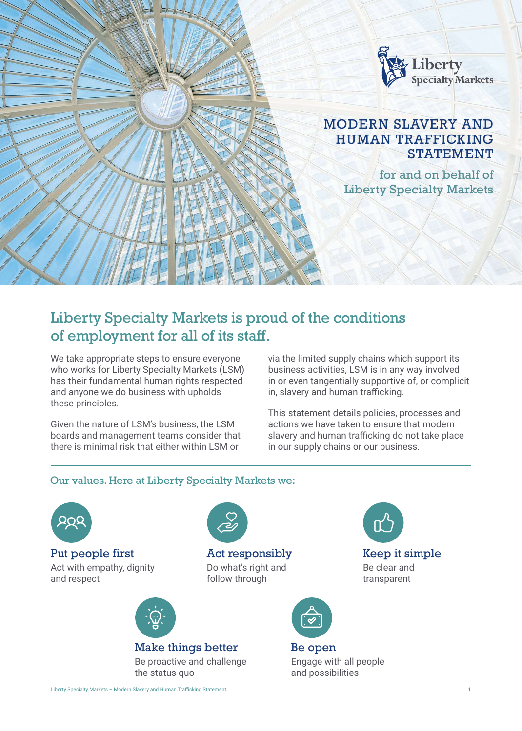

## Liberty Specialty Markets is proud of the conditions of employment for all of its staff.

Act responsibly Do what's right and follow through

We take appropriate steps to ensure everyone who works for Liberty Specialty Markets (LSM) has their fundamental human rights respected and anyone we do business with upholds these principles.

Given the nature of LSM's business, the LSM boards and management teams consider that there is minimal risk that either within LSM or

via the limited supply chains which support its business activities, LSM is in any way involved in or even tangentially supportive of, or complicit in, slavery and human trafficking.

This statement details policies, processes and actions we have taken to ensure that modern slavery and human trafficking do not take place in our supply chains or our business.

#### Our values. Here at Liberty Specialty Markets we:



Put people first Act with empathy, dignity and respect



#### Make things better

Be proactive and challenge the status quo



Be open Engage with all people and possibilities

Liberty Specialty Markets - Modern Slavery and Human Trafficking Statement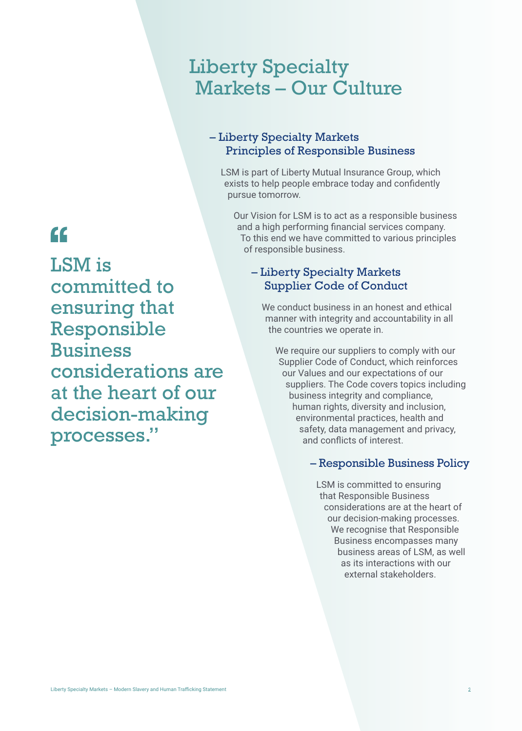## Liberty Specialty Markets – Our Culture

#### – Liberty Specialty Markets Principles of Responsible Business

LSM is part of Liberty Mutual Insurance Group, which exists to help people embrace today and confidently pursue tomorrow.

Our Vision for LSM is to act as a responsible business and a high performing financial services company. To this end we have committed to various principles of responsible business.

#### – Liberty Specialty Markets Supplier Code of Conduct

We conduct business in an honest and ethical manner with integrity and accountability in all the countries we operate in.

We require our suppliers to comply with our Supplier Code of Conduct, which reinforces our Values and our expectations of our suppliers. The Code covers topics including business integrity and compliance, human rights, diversity and inclusion, environmental practices, health and safety, data management and privacy, and conflicts of interest.

#### – Responsible Business Policy

LSM is committed to ensuring that Responsible Business considerations are at the heart of our decision-making processes. We recognise that Responsible Business encompasses many business areas of LSM, as well as its interactions with our external stakeholders.

# $cc$

LSM is committed to ensuring that Responsible Business considerations are at the heart of our decision-making processes."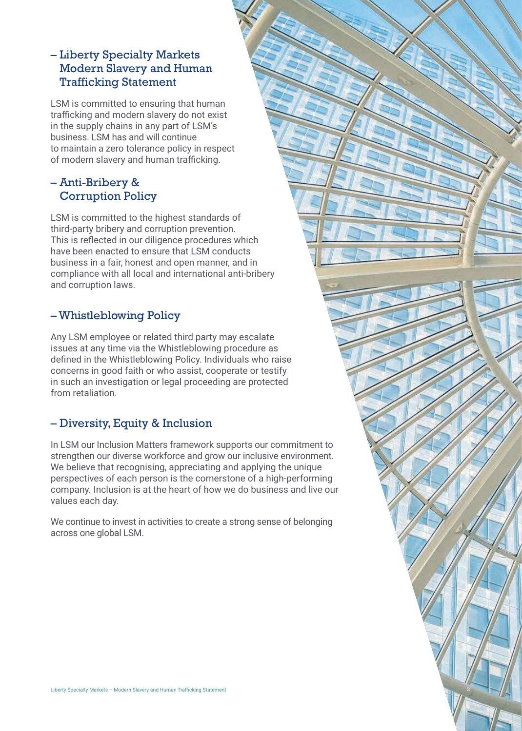#### – Liberty Specialty Markets Modern Slavery and Human Trafficking Statement

LSM is committed to ensuring that human trafficking and modern slavery do not exist in the supply chains in any part of LSM's business. LSM has and will continue to maintain a zero tolerance policy in respect of modern slavery and human trafficking.

### – Anti-Bribery & Corruption Policy

LSM is committed to the highest standards of third-party bribery and corruption prevention. This is reflected in our diligence procedures which have been enacted to ensure that LSM conducts business in a fair, honest and open manner, and in compliance with all local and international anti-bribery and corruption laws.

### – Whistleblowing Policy

Any LSM employee or related third party may escalate issues at any time via the Whistleblowing procedure as defined in the Whistleblowing Policy. Individuals who raise concerns in good faith or who assist, cooperate or testify in such an investigation or legal proceeding are protected from retaliation.

### – Diversity, Equity & Inclusion

In LSM our Inclusion Matters framework supports our commitment to strengthen our diverse workforce and grow our inclusive environment. We believe that recognising, appreciating and applying the unique perspectives of each person is the cornerstone of a high-performing company. Inclusion is at the heart of how we do business and live our values each day.

We continue to invest in activities to create a strong sense of belonging across one global LSM.

3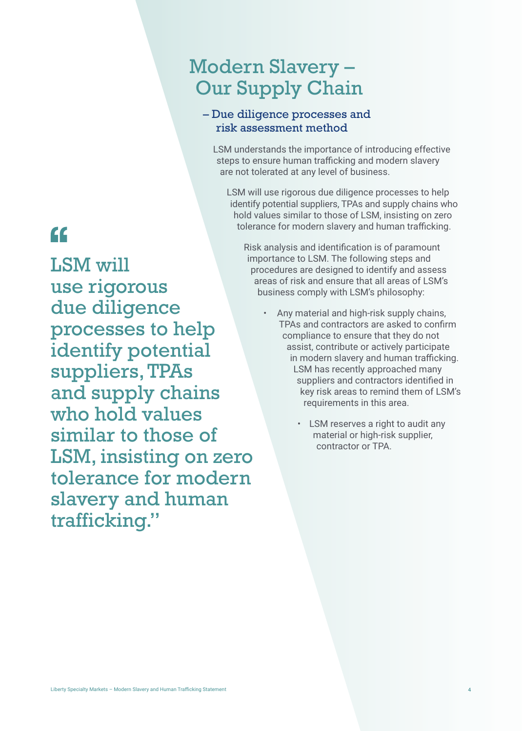## Modern Slavery – Our Supply Chain

#### – Due diligence processes and risk assessment method

LSM understands the importance of introducing effective steps to ensure human trafficking and modern slavery are not tolerated at any level of business.

LSM will use rigorous due diligence processes to help identify potential suppliers, TPAs and supply chains who hold values similar to those of LSM, insisting on zero tolerance for modern slavery and human trafficking.

Risk analysis and identification is of paramount importance to LSM. The following steps and procedures are designed to identify and assess areas of risk and ensure that all areas of LSM's business comply with LSM's philosophy:

- Any material and high-risk supply chains, TPAs and contractors are asked to confirm compliance to ensure that they do not assist, contribute or actively participate in modern slavery and human trafficking. LSM has recently approached many suppliers and contractors identified in key risk areas to remind them of LSM's requirements in this area.
	- LSM reserves a right to audit any material or high-risk supplier, contractor or TPA.

# $\epsilon$

LSM will use rigorous due diligence processes to help identify potential suppliers, TPAs and supply chains who hold values similar to those of LSM, insisting on zero tolerance for modern slavery and human trafficking."